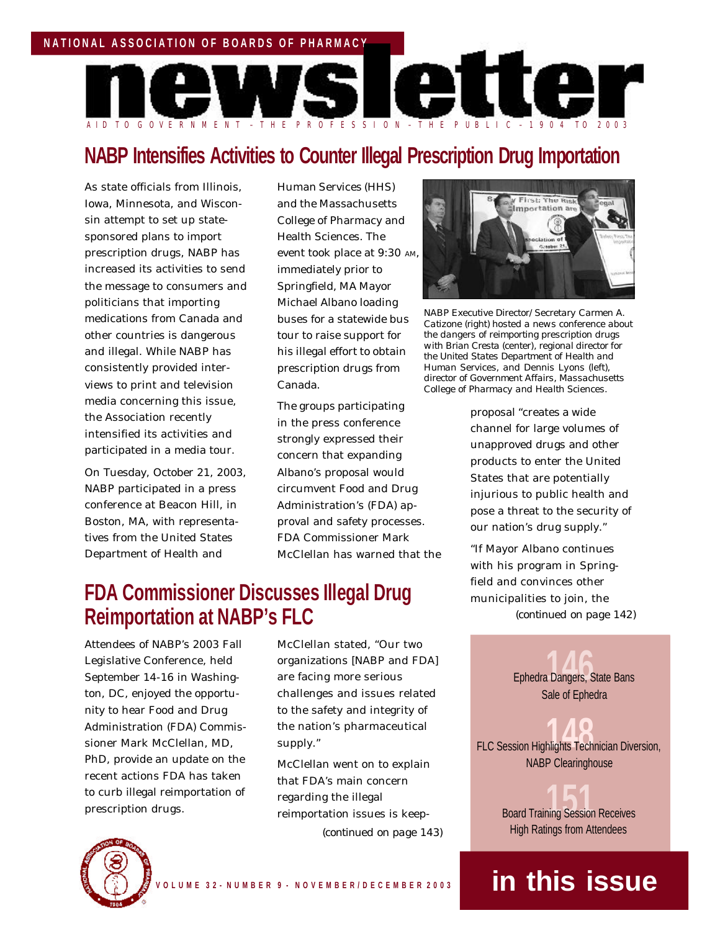

# **NABP Intensifies Activities to Counter Illegal Prescription Drug Importation**

As state officials from Illinois, Iowa, Minnesota, and Wisconsin attempt to set up statesponsored plans to import prescription drugs, NABP has increased its activities to send the message to consumers and politicians that importing medications from Canada and other countries is dangerous and illegal. While NABP has consistently provided interviews to print and television media concerning this issue, the Association recently intensified its activities and participated in a media tour.

On Tuesday, October 21, 2003, NABP participated in a press conference at Beacon Hill, in Boston, MA, with representatives from the United States Department of Health and

Human Services (HHS) and the Massachusetts College of Pharmacy and Health Sciences. The event took place at 9:30 AM, immediately prior to Springfield, MA Mayor Michael Albano loading buses for a statewide bus tour to raise support for his illegal effort to obtain prescription drugs from Canada.

The groups participating in the press conference strongly expressed their concern that expanding Albano's proposal would circumvent Food and Drug Administration's (FDA) approval and safety processes. FDA Commissioner Mark McClellan has warned that the

# **FDA Commissioner Discusses Illegal Drug** field and convinces other **FDA** Commissioner Discusses Illegal Drug **Reimportation at NABP's FLC**

Attendees of NABP's 2003 Fall Legislative Conference, held September 14-16 in Washington, DC, enjoyed the opportunity to hear Food and Drug Administration (FDA) Commissioner Mark McClellan, MD, PhD, provide an update on the recent actions FDA has taken to curb illegal reimportation of prescription drugs.

McClellan stated, "Our two organizations [NABP and FDA] are facing more serious challenges and issues related to the safety and integrity of the nation's pharmaceutical supply."

McClellan went on to explain that FDA's main concern regarding the illegal reimportation issues is keep- *(continued on page 143)*



*NABP Executive Director/Secretary Carmen A. Catizone (right) hosted a news conference about the dangers of reimporting prescription drugs with Brian Cresta (center), regional director for the United States Department of Health and Human Services, and Dennis Lyons (left), director of Government Affairs, Massachusetts College of Pharmacy and Health Sciences.*

proposal "creates a wide channel for large volumes of unapproved drugs and other products to enter the United States that are potentially injurious to public health and pose a threat to the security of our nation's drug supply."

"If Mayor Albano continues with his program in Spring-*(continued on page 142)*

> Ephedra Dangers, State Bans **146** Sale of Ephedra

FLC Session Highlights Technician Diversion, NABP Clearinghouse

> **Board Training Session Receives** High Ratings from Attendees

# n o vez en an de la provincia de la provincia de la provincia de la provincia de la provincia de la provincia d

#### **V O L U M E 3 2 - N U M B E R 9 - N O V E M B E R / D E C E M B E R 2 0 0 3**

# **in this issue**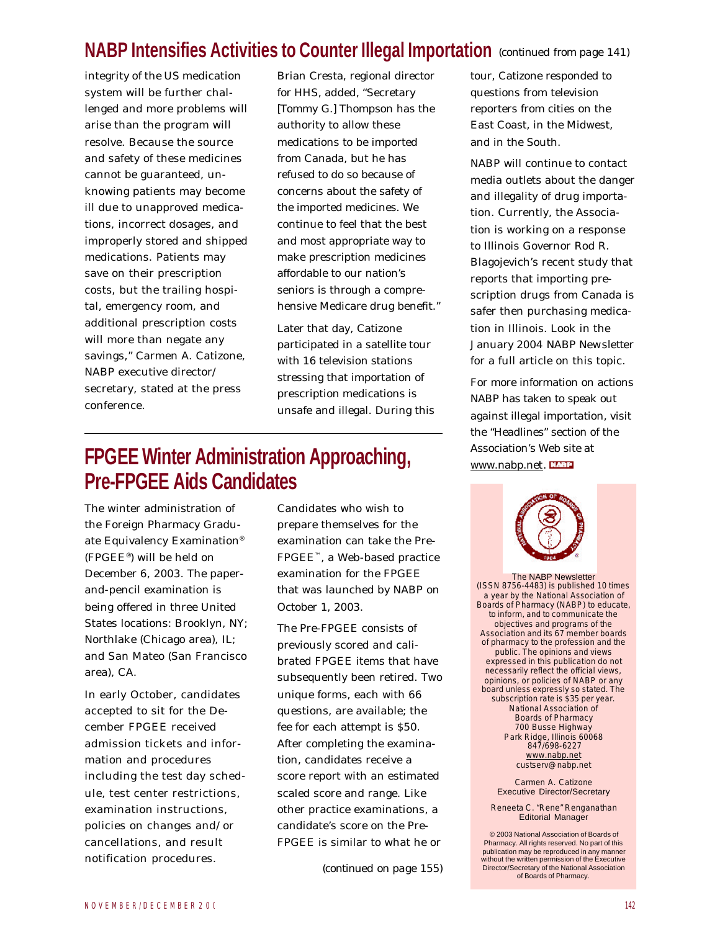# **NABP Intensifies Activities to Counter Illegal Importation** *(continued from page 141)*

integrity of the US medication system will be further challenged and more problems will arise than the program will resolve. Because the source and safety of these medicines cannot be guaranteed, unknowing patients may become ill due to unapproved medications, incorrect dosages, and improperly stored and shipped medications. Patients may save on their prescription costs, but the trailing hospital, emergency room, and additional prescription costs will more than negate any savings," Carmen A. Catizone, NABP executive director/ secretary, stated at the press conference.

Brian Cresta, regional director for HHS, added, "Secretary [Tommy G.] Thompson has the authority to allow these medications to be imported from Canada, but he has refused to do so because of concerns about the safety of the imported medicines. We continue to feel that the best and most appropriate way to make prescription medicines affordable to our nation's seniors is through a comprehensive Medicare drug benefit."

Later that day, Catizone participated in a satellite tour with 16 television stations stressing that importation of prescription medications is unsafe and illegal. During this

# **FPGEE Winter Administration Approaching, Pre-FPGEE Aids Candidates**

The winter administration of the Foreign Pharmacy Graduate Equivalency Examination® (FPGEE® ) will be held on December 6, 2003. The paperand-pencil examination is being offered in three United States locations: Brooklyn, NY; Northlake (Chicago area), IL; and San Mateo (San Francisco area), CA.

In early October, candidates accepted to sit for the December FPGEE received admission tickets and information and procedures including the test day schedule, test center restrictions, examination instructions, policies on changes and/or cancellations, and result notification procedures.

Candidates who wish to prepare themselves for the examination can take the Pre-FPGEE™, a Web-based practice examination for the FPGEE that was launched by NABP on October 1, 2003.

The Pre-FPGEE consists of previously scored and calibrated FPGEE items that have subsequently been retired. Two unique forms, each with 66 questions, are available; the fee for each attempt is \$50. After completing the examination, candidates receive a score report with an estimated scaled score and range. Like other practice examinations, a candidate's score on the Pre-FPGEE is similar to what he or

*(continued on page 155)*

tour, Catizone responded to questions from television reporters from cities on the East Coast, in the Midwest, and in the South.

NABP will continue to contact media outlets about the danger and illegality of drug importation. Currently, the Association is working on a response to Illinois Governor Rod R. Blagojevich's recent study that reports that importing prescription drugs from Canada is safer then purchasing medication in Illinois. Look in the January 2004 *NABP Newsletter* for a full article on this topic.

For more information on actions NABP has taken to speak out against illegal importation, visit the "Headlines" section of the Association's Web site at www.nabp.net.



The NABP Newsletter (ISSN 8756-4483) is published 10 times a year by the National Association of Boards of Pharmacy (NABP) to educate, to inform, and to communicate the objectives and programs of the Association and its 67 member boards of pharmacy to the profession and the public. The opinions and views expressed in this publication do not necessarily reflect the official views, opinions, or policies of NABP or any board unless expressly so stated. The subscription rate is \$35 per year. National Association of Boards of Pharmacy 700 Busse Highway Park Ridge, Illinois 60068 847/698-6227 www.nabp.net custserv@nabp.net

> Carmen A. Catizone Executive Director/Secretary

Reneeta C. "Rene" Renganathan Editorial Manager

 © 2003 National Association of Boards of Pharmacy. All rights reserved. No part of this publication may be reproduced in any manner without the written permission of the Executive Director/Secretary of the National Association of Boards of Pharmacy.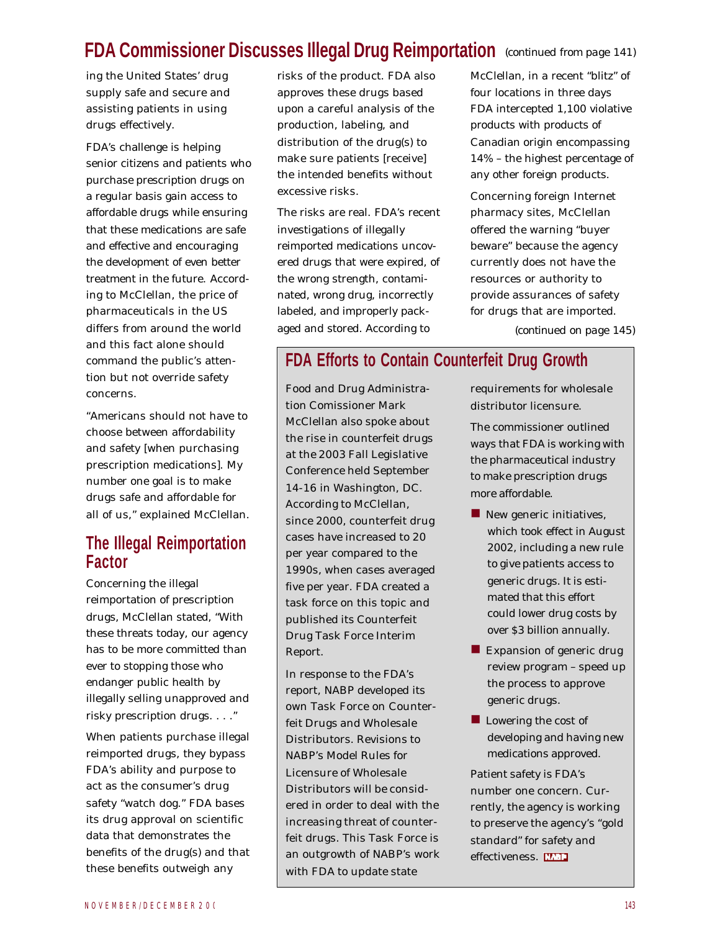# **FDA Commissioner Discusses Illegal Drug Reimportation** *(continued from page 141)*

ing the United States' drug supply safe and secure and assisting patients in using drugs effectively.

FDA's challenge is helping senior citizens and patients who purchase prescription drugs on a regular basis gain access to affordable drugs while ensuring that these medications are safe and effective and encouraging the development of even better treatment in the future. According to McClellan, the price of pharmaceuticals in the US differs from around the world and this fact alone should command the public's attention but not override safety concerns.

"Americans should not have to choose between affordability and safety [when purchasing prescription medications]. My number one goal is to make drugs safe and affordable for all of us," explained McClellan.

#### **The Illegal Reimportation Factor**

Concerning the illegal reimportation of prescription drugs, McClellan stated, "With these threats today, our agency has to be more committed than ever to stopping those who endanger public health by illegally selling unapproved and risky prescription drugs. . . ."

When patients purchase illegal reimported drugs, they bypass FDA's ability and purpose to act as the consumer's drug safety "watch dog." FDA bases its drug approval on scientific data that demonstrates the benefits of the drug(s) and that these benefits outweigh any

risks of the product. FDA also approves these drugs based upon a careful analysis of the production, labeling, and distribution of the drug(s) to make sure patients [receive] the intended benefits without excessive risks.

The risks are real. FDA's recent investigations of illegally reimported medications uncovered drugs that were expired, of the wrong strength, contaminated, wrong drug, incorrectly labeled, and improperly packaged and stored. According to

McClellan, in a recent "blitz" of four locations in three days FDA intercepted 1,100 violative products with products of Canadian origin encompassing 14% – the highest percentage of any other foreign products.

Concerning foreign Internet pharmacy sites, McClellan offered the warning "buyer beware" because the agency currently does not have the resources or authority to provide assurances of safety for drugs that are imported.

*(continued on page 145)*

### **FDA Efforts to Contain Counterfeit Drug Growth**

Food and Drug Administration Comissioner Mark McClellan also spoke about the rise in counterfeit drugs at the 2003 Fall Legislative Conference held September 14-16 in Washington, DC. According to McClellan, since 2000, counterfeit drug cases have increased to 20 per year compared to the 1990s, when cases averaged five per year. FDA created a task force on this topic and published its Counterfeit Drug Task Force Interim Report.

In response to the FDA's report, NABP developed its own Task Force on Counterfeit Drugs and Wholesale Distributors. Revisions to NABP's Model Rules for Licensure of Wholesale Distributors will be considered in order to deal with the increasing threat of counterfeit drugs. This Task Force is an outgrowth of NABP's work with FDA to update state

requirements for wholesale distributor licensure.

The commissioner outlined ways that FDA is working with the pharmaceutical industry to make prescription drugs more affordable.

- $\blacksquare$  New generic initiatives, which took effect in August 2002, including a new rule to give patients access to generic drugs. It is estimated that this effort could lower drug costs by over \$3 billion annually.
- $\blacksquare$  Expansion of generic drug review program – speed up the process to approve generic drugs.
- **n** Lowering the cost of developing and having new medications approved.

Patient safety is FDA's number one concern. Currently, the agency is working to preserve the agency's "gold standard" for safety and effectiveness. ETHE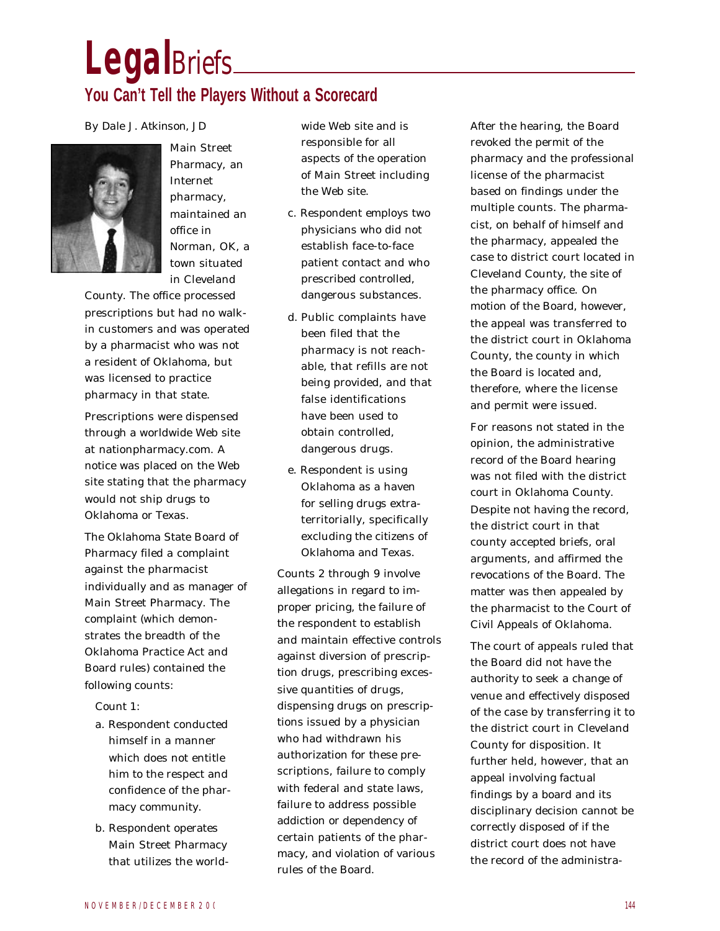# **Legal***Briefs*

# **You Can't Tell the Players Without a Scorecard**

#### *By Dale J. Atkinson, JD*



Main Street Pharmacy, an Internet pharmacy, maintained an office in Norman, OK, a town situated in Cleveland

County. The office processed prescriptions but had no walkin customers and was operated by a pharmacist who was not a resident of Oklahoma, but was licensed to practice pharmacy in that state.

Prescriptions were dispensed through a worldwide Web site at nationpharmacy.com. A notice was placed on the Web site stating that the pharmacy would not ship drugs to Oklahoma or Texas.

The Oklahoma State Board of Pharmacy filed a complaint against the pharmacist individually and as manager of Main Street Pharmacy. The complaint (which demonstrates the breadth of the Oklahoma Practice Act and Board rules) contained the following counts:

Count 1:

- a. Respondent conducted himself in a manner which does not entitle him to the respect and confidence of the pharmacy community.
- b. Respondent operates Main Street Pharmacy that utilizes the world-

wide Web site and is responsible for all aspects of the operation of Main Street including the Web site.

- c. Respondent employs two physicians who did not establish face-to-face patient contact and who prescribed controlled, dangerous substances.
- d. Public complaints have been filed that the pharmacy is not reachable, that refills are not being provided, and that false identifications have been used to obtain controlled, dangerous drugs.
- e. Respondent is using Oklahoma as a haven for selling drugs extraterritorially, specifically excluding the citizens of Oklahoma and Texas.

Counts 2 through 9 involve allegations in regard to improper pricing, the failure of the respondent to establish and maintain effective controls against diversion of prescription drugs, prescribing excessive quantities of drugs, dispensing drugs on prescriptions issued by a physician who had withdrawn his authorization for these prescriptions, failure to comply with federal and state laws, failure to address possible addiction or dependency of certain patients of the pharmacy, and violation of various rules of the Board.

After the hearing, the Board revoked the permit of the pharmacy and the professional license of the pharmacist based on findings under the multiple counts. The pharmacist, on behalf of himself and the pharmacy, appealed the case to district court located in Cleveland County, the site of the pharmacy office. On motion of the Board, however, the appeal was transferred to the district court in Oklahoma County, the county in which the Board is located and, therefore, where the license and permit were issued.

For reasons not stated in the opinion, the administrative record of the Board hearing was not filed with the district court in Oklahoma County. Despite not having the record, the district court in that county accepted briefs, oral arguments, and affirmed the revocations of the Board. The matter was then appealed by the pharmacist to the Court of Civil Appeals of Oklahoma.

The court of appeals ruled that the Board did not have the authority to seek a change of venue and effectively disposed of the case by transferring it to the district court in Cleveland County for disposition. It further held, however, that an appeal involving factual findings by a board and its disciplinary decision cannot be correctly disposed of if the district court does not have the record of the administra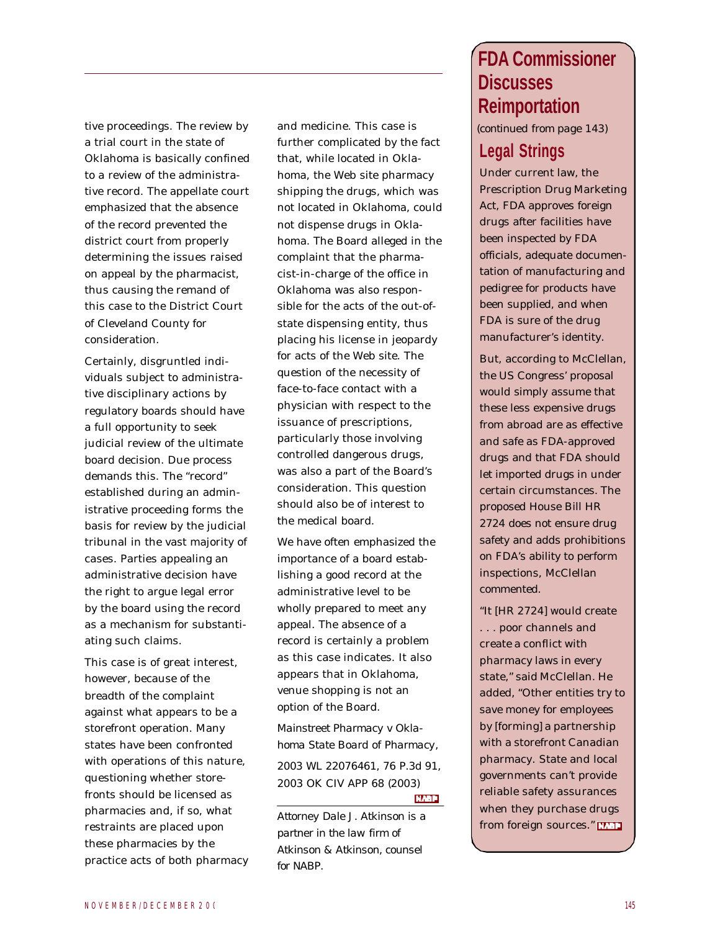tive proceedings. The review by a trial court in the state of Oklahoma is basically confined to a review of the administrative record. The appellate court emphasized that the absence of the record prevented the district court from properly determining the issues raised on appeal by the pharmacist, thus causing the remand of this case to the District Court of Cleveland County for consideration.

Certainly, disgruntled individuals subject to administrative disciplinary actions by regulatory boards should have a full opportunity to seek judicial review of the ultimate board decision. Due process demands this. The "record" established during an administrative proceeding forms the basis for review by the judicial tribunal in the vast majority of cases. Parties appealing an administrative decision have the right to argue legal error by the board using the record as a mechanism for substantiating such claims.

This case is of great interest, however, because of the breadth of the complaint against what appears to be a storefront operation. Many states have been confronted with operations of this nature, questioning whether storefronts should be licensed as pharmacies and, if so, what restraints are placed upon these pharmacies by the practice acts of both pharmacy and medicine. This case is further complicated by the fact that, while located in Oklahoma, the Web site pharmacy shipping the drugs, which was not located in Oklahoma, could not dispense drugs in Oklahoma. The Board alleged in the complaint that the pharmacist-in-charge of the office in Oklahoma was also responsible for the acts of the out-ofstate dispensing entity, thus placing his license in jeopardy for acts of the Web site. The question of the necessity of face-to-face contact with a physician with respect to the issuance of prescriptions, particularly those involving controlled dangerous drugs, was also a part of the Board's consideration. This question should also be of interest to the medical board.

We have often emphasized the importance of a board establishing a good record at the administrative level to be wholly prepared to meet any appeal. The absence of a record is certainly a problem as this case indicates. It also appears that in Oklahoma, venue shopping is not an option of the Board.

*Mainstreet Pharmacy v Oklahoma State Board of Pharmacy*, 2003 WL 22076461, 76 P.3d 91, 2003 OK CIV APP 68 (2003) **NABP** 

*Attorney Dale J. Atkinson is a partner in the law firm of Atkinson & Atkinson, counsel for NABP.*

# **FDA Commissioner Discusses Reimportation**

*(continued from page 143)*

# **Legal Strings**

Under current law, the Prescription Drug Marketing Act, FDA approves foreign drugs after facilities have been inspected by FDA officials, adequate documentation of manufacturing and pedigree for products have been supplied, and when FDA is sure of the drug manufacturer's identity.

But, according to McClellan, the US Congress' proposal would simply assume that these less expensive drugs from abroad are as effective and safe as FDA-approved drugs and that FDA should let imported drugs in under certain circumstances. The proposed House Bill HR 2724 does not ensure drug safety and adds prohibitions on FDA's ability to perform inspections, McClellan commented.

"It [HR 2724] would create . . . poor channels and create a conflict with pharmacy laws in every state," said McClellan. He added, "Other entities try to save money for employees by [forming] a partnership with a storefront Canadian pharmacy. State and local governments can't provide reliable safety assurances when they purchase drugs from foreign sources."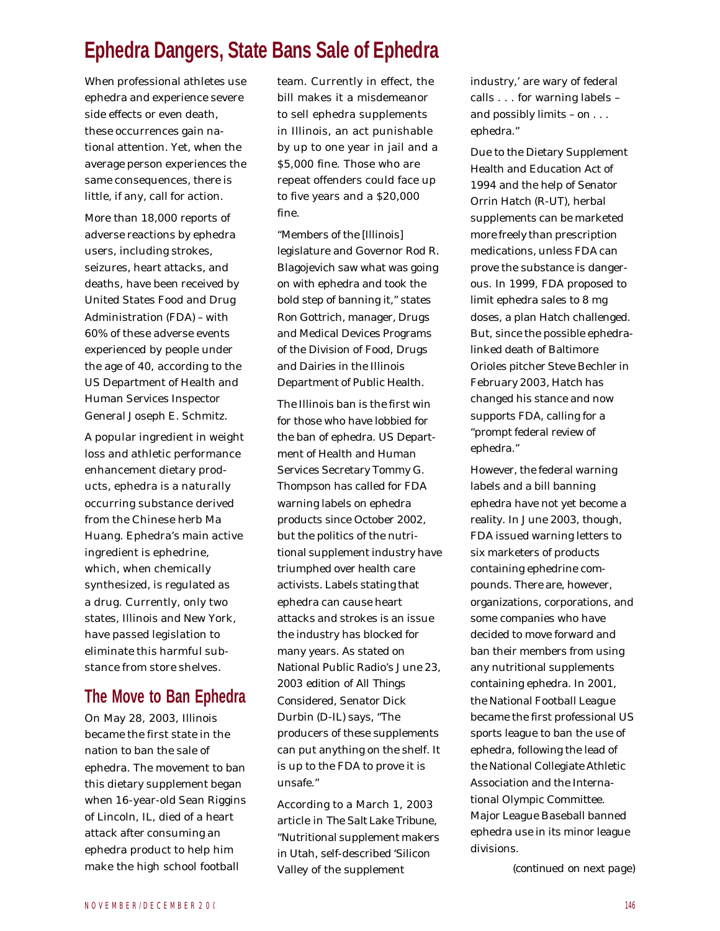# **Ephedra Dangers, State Bans Sale of Ephedra**

When professional athletes use ephedra and experience severe side effects or even death, these occurrences gain national attention. Yet, when the average person experiences the same consequences, there is little, if any, call for action.

More than 18,000 reports of adverse reactions by ephedra users, including strokes, seizures, heart attacks, and deaths, have been received by United States Food and Drug Administration (FDA) – with 60% of these adverse events experienced by people under the age of 40, according to the US Department of Health and Human Services Inspector General Joseph E. Schmitz.

A popular ingredient in weight loss and athletic performance enhancement dietary products, ephedra is a naturally occurring substance derived from the Chinese herb Ma Huang. Ephedra's main active ingredient is ephedrine, which, when chemically synthesized, is regulated as a drug. Currently, only two states, Illinois and New York, have passed legislation to eliminate this harmful substance from store shelves.

#### **The Move to Ban Ephedra**

On May 28, 2003, Illinois became the first state in the nation to ban the sale of ephedra. The movement to ban this dietary supplement began when 16-year-old Sean Riggins of Lincoln, IL, died of a heart attack after consuming an ephedra product to help him make the high school football

team. Currently in effect, the bill makes it a misdemeanor to sell ephedra supplements in Illinois, an act punishable by up to one year in jail and a \$5,000 fine. Those who are repeat offenders could face up to five years and a \$20,000 fine.

"Members of the [Illinois] legislature and Governor Rod R. Blagojevich saw what was going on with ephedra and took the bold step of banning it," states Ron Gottrich, manager, Drugs and Medical Devices Programs of the Division of Food, Drugs and Dairies in the Illinois Department of Public Health.

The Illinois ban is the first win for those who have lobbied for the ban of ephedra. US Department of Health and Human Services Secretary Tommy G. Thompson has called for FDA warning labels on ephedra products since October 2002, but the politics of the nutritional supplement industry have triumphed over health care activists. Labels stating that ephedra can cause heart attacks and strokes is an issue the industry has blocked for many years. As stated on National Public Radio's June 23, 2003 edition of *All Things Considered*, Senator Dick Durbin (D-IL) says, "The producers of these supplements can put anything on the shelf. It is up to the FDA to prove it is unsafe."

According to a March 1, 2003 article in *The Salt Lake Tribune*, "Nutritional supplement makers in Utah, self-described 'Silicon Valley of the supplement *(continued on next page)*

industry,' are wary of federal calls . . . for warning labels – and possibly limits – on . . . ephedra."

Due to the Dietary Supplement Health and Education Act of 1994 and the help of Senator Orrin Hatch (R-UT), herbal supplements can be marketed more freely than prescription medications, unless FDA can prove the substance is dangerous. In 1999, FDA proposed to limit ephedra sales to 8 mg doses, a plan Hatch challenged. But, since the possible ephedralinked death of Baltimore Orioles pitcher Steve Bechler in February 2003, Hatch has changed his stance and now supports FDA, calling for a "prompt federal review of ephedra."

However, the federal warning labels and a bill banning ephedra have not yet become a reality. In June 2003, though, FDA issued warning letters to six marketers of products containing ephedrine compounds. There are, however, organizations, corporations, and some companies who have decided to move forward and ban their members from using any nutritional supplements containing ephedra. In 2001, the National Football League became the first professional US sports league to ban the use of ephedra, following the lead of the National Collegiate Athletic Association and the International Olympic Committee. Major League Baseball banned ephedra use in its minor league divisions.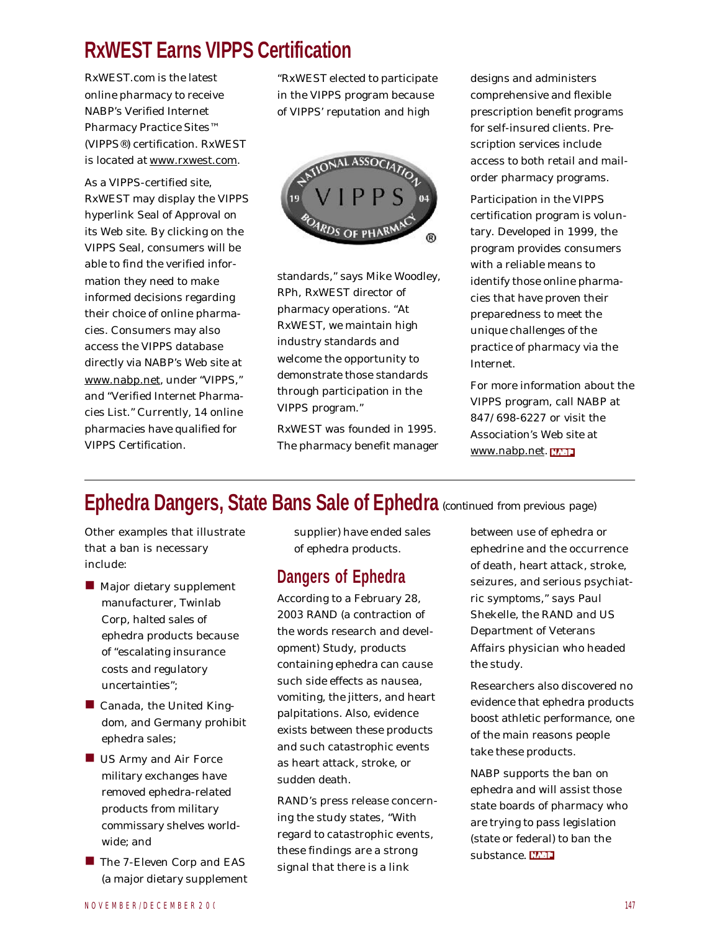# **RxWEST Earns VIPPS Certification**

RxWEST.com is the latest online pharmacy to receive NABP's Verified Internet Pharmacy Practice Sites™ (VIPPS®) certification. RxWEST is located at www.rxwest.com.

As a VIPPS-certified site, RxWEST may display the VIPPS hyperlink Seal of Approval on its Web site. By clicking on the VIPPS Seal, consumers will be able to find the verified information they need to make informed decisions regarding their choice of online pharmacies. Consumers may also access the VIPPS database directly via NABP's Web site at www.nabp.net, under "VIPPS," and "Verified Internet Pharmacies List." Currently, 14 online pharmacies have qualified for VIPPS Certification.

"RxWEST elected to participate in the VIPPS program because of VIPPS' reputation and high



standards," says Mike Woodley, RPh, RxWEST director of pharmacy operations. "At RxWEST, we maintain high industry standards and welcome the opportunity to demonstrate those standards through participation in the VIPPS program."

RxWEST was founded in 1995. The pharmacy benefit manager designs and administers comprehensive and flexible prescription benefit programs for self-insured clients. Prescription services include access to both retail and mailorder pharmacy programs.

Participation in the VIPPS certification program is voluntary. Developed in 1999, the program provides consumers with a reliable means to identify those online pharmacies that have proven their preparedness to meet the unique challenges of the practice of pharmacy via the Internet.

For more information about the VIPPS program, call NABP at 847/698-6227 or visit the Association's Web site at www.nabp.net.

# **Ephedra Dangers, State Bans Sale of Ephedra** *(continued from previous page)*

Other examples that illustrate that a ban is necessary include:

- $\blacksquare$  Major dietary supplement manufacturer, Twinlab Corp, halted sales of ephedra products because of "escalating insurance costs and regulatory uncertainties";
- $\blacksquare$  Canada, the United Kingdom, and Germany prohibit ephedra sales;
- $\blacksquare$  US Army and Air Force military exchanges have removed ephedra-related products from military commissary shelves worldwide; and
- The 7-Eleven Corp and EAS (a major dietary supplement

supplier) have ended sales of ephedra products.

### **Dangers of Ephedra**

According to a February 28, 2003 RAND (a contraction of the words research and development) Study, products containing ephedra can cause such side effects as nausea, vomiting, the jitters, and heart palpitations. Also, evidence exists between these products and such catastrophic events as heart attack, stroke, or sudden death.

RAND's press release concerning the study states, "With regard to catastrophic events, these findings are a strong signal that there is a link

between use of ephedra or ephedrine and the occurrence of death, heart attack, stroke, seizures, and serious psychiatric symptoms," says Paul Shekelle, the RAND and US Department of Veterans Affairs physician who headed the study.

Researchers also discovered no evidence that ephedra products boost athletic performance, one of the main reasons people take these products.

NABP supports the ban on ephedra and will assist those state boards of pharmacy who are trying to pass legislation (state or federal) to ban the substance. **EFT**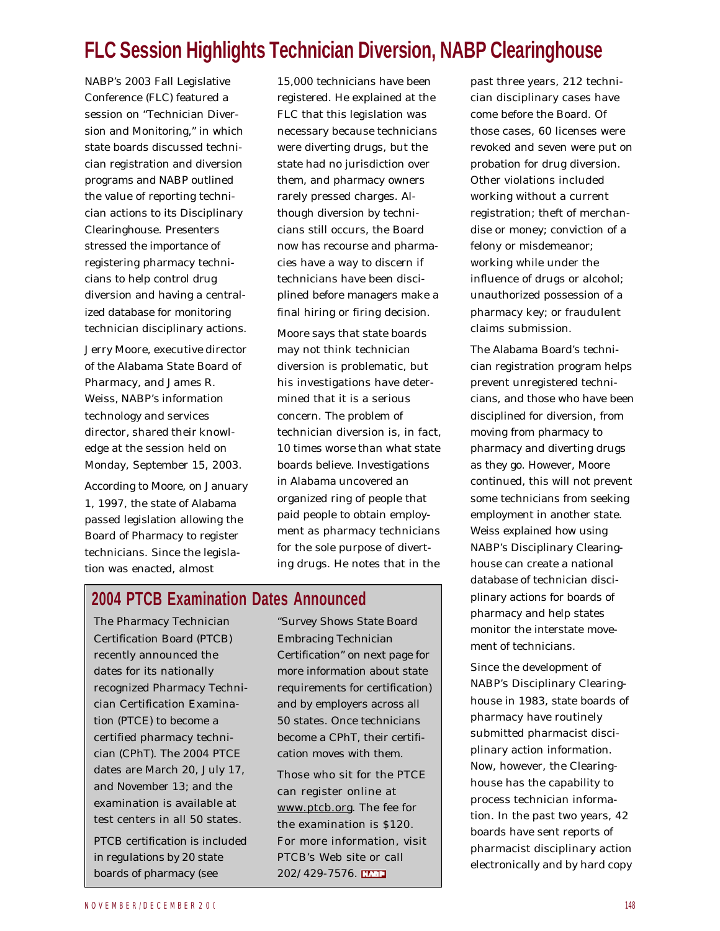# **FLC Session Highlights Technician Diversion, NABP Clearinghouse**

NABP's 2003 Fall Legislative Conference (FLC) featured a session on "Technician Diversion and Monitoring," in which state boards discussed technician registration and diversion programs and NABP outlined the value of reporting technician actions to its Disciplinary Clearinghouse. Presenters stressed the importance of registering pharmacy technicians to help control drug diversion and having a centralized database for monitoring technician disciplinary actions.

Jerry Moore, executive director of the Alabama State Board of Pharmacy, and James R. Weiss, NABP's information technology and services director, shared their knowledge at the session held on Monday, September 15, 2003.

According to Moore, on January 1, 1997, the state of Alabama passed legislation allowing the Board of Pharmacy to register technicians. Since the legislation was enacted, almost

15,000 technicians have been registered. He explained at the FLC that this legislation was necessary because technicians were diverting drugs, but the state had no jurisdiction over them, and pharmacy owners rarely pressed charges. Although diversion by technicians still occurs, the Board now has recourse and pharmacies have a way to discern if technicians have been disciplined before managers make a final hiring or firing decision.

Moore says that state boards may not think technician diversion is problematic, but his investigations have determined that it is a serious concern. The problem of technician diversion is, in fact, 10 times worse than what state boards believe. Investigations in Alabama uncovered an organized ring of people that paid people to obtain employment as pharmacy technicians for the sole purpose of diverting drugs. He notes that in the

#### **2004 PTCB Examination Dates Announced**

The Pharmacy Technician Certification Board (PTCB) recently announced the dates for its nationally recognized Pharmacy Technician Certification Examination (PTCE) to become a certified pharmacy technician (CPhT). The 2004 PTCE dates are March 20, July 17, and November 13; and the examination is available at test centers in all 50 states.

PTCB certification is included in regulations by 20 state boards of pharmacy (see

"Survey Shows State Board Embracing Technician Certification" on next page for more information about state requirements for certification) and by employers across all 50 states. Once technicians become a CPhT, their certification moves with them.

Those who sit for the PTCE can register online at www.ptcb.org. The fee for the examination is \$120. For more information, visit PTCB's Web site or call 202/429-7576.

past three years, 212 technician disciplinary cases have come before the Board. Of those cases, 60 licenses were revoked and seven were put on probation for drug diversion. Other violations included working without a current registration; theft of merchandise or money; conviction of a felony or misdemeanor; working while under the influence of drugs or alcohol; unauthorized possession of a pharmacy key; or fraudulent claims submission.

The Alabama Board's technician registration program helps prevent unregistered technicians, and those who have been disciplined for diversion, from moving from pharmacy to pharmacy and diverting drugs as they go. However, Moore continued, this will not prevent some technicians from seeking employment in another state. Weiss explained how using NABP's Disciplinary Clearinghouse can create a national database of technician disciplinary actions for boards of pharmacy and help states monitor the interstate movement of technicians.

Since the development of NABP's Disciplinary Clearinghouse in 1983, state boards of pharmacy have routinely submitted pharmacist disciplinary action information. Now, however, the Clearinghouse has the capability to process technician information. In the past two years, 42 boards have sent reports of pharmacist disciplinary action electronically and by hard copy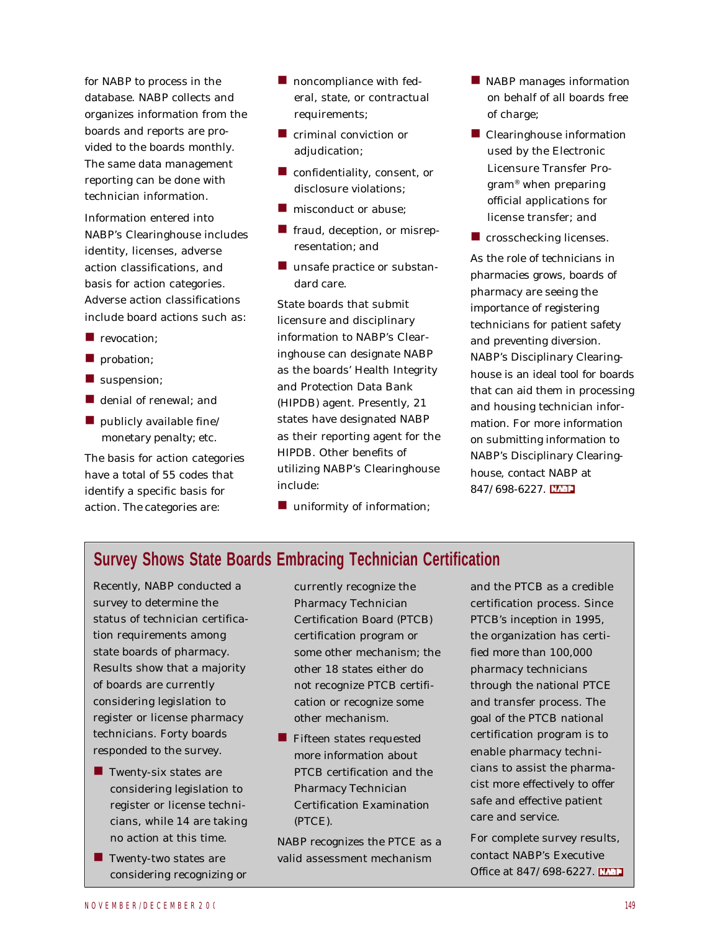for NABP to process in the database. NABP collects and organizes information from the boards and reports are provided to the boards monthly. The same data management reporting can be done with technician information.

Information entered into NABP's Clearinghouse includes identity, licenses, adverse action classifications, and basis for action categories. Adverse action classifications include board actions such as:

- $\blacksquare$  revocation:
- **n** probation;
- $\blacksquare$  suspension;
- $\blacksquare$  denial of renewal; and
- $\blacksquare$  publicly available fine/ monetary penalty; etc.

The basis for action categories have a total of 55 codes that identify a specific basis for action. The categories are:

- $\blacksquare$  noncompliance with federal, state, or contractual requirements;
- $\blacksquare$  criminal conviction or adjudication;
- $\blacksquare$  confidentiality, consent, or disclosure violations;
- $\blacksquare$  misconduct or abuse;
- **n** fraud, deception, or misrepresentation; and
- $\blacksquare$  unsafe practice or substandard care.

State boards that submit licensure and disciplinary information to NABP's Clearinghouse can designate NABP as the boards' Health Integrity and Protection Data Bank (HIPDB) agent. Presently, 21 states have designated NABP as their reporting agent for the HIPDB. Other benefits of utilizing NABP's Clearinghouse include:

 $\blacksquare$  uniformity of information;

- $\blacksquare$  NABP manages information on behalf of all boards free of charge;
- $\blacksquare$  Clearinghouse information used by the Electronic Licensure Transfer Program® when preparing official applications for license transfer; and
- $\blacksquare$  crosschecking licenses.

As the role of technicians in pharmacies grows, boards of pharmacy are seeing the importance of registering technicians for patient safety and preventing diversion. NABP's Disciplinary Clearinghouse is an ideal tool for boards that can aid them in processing and housing technician information. For more information on submitting information to NABP's Disciplinary Clearinghouse, contact NABP at 847/698-6227. **EVAL** 

#### **Survey Shows State Boards Embracing Technician Certification**

Recently, NABP conducted a survey to determine the status of technician certification requirements among state boards of pharmacy. Results show that a majority of boards are currently considering legislation to register or license pharmacy technicians. Forty boards responded to the survey.

- $\blacksquare$  Twenty-six states are considering legislation to register or license technicians, while 14 are taking no action at this time.
- $\blacksquare$  Twenty-two states are considering recognizing or

currently recognize the Pharmacy Technician Certification Board (PTCB) certification program or some other mechanism; the other 18 states either do not recognize PTCB certification or recognize some other mechanism.

 $\blacksquare$  Fifteen states requested more information about PTCB certification and the Pharmacy Technician Certification Examination (PTCE).

NABP recognizes the PTCE as a valid assessment mechanism

and the PTCB as a credible certification process. Since PTCB's inception in 1995, the organization has certified more than 100,000 pharmacy technicians through the national PTCE and transfer process. The goal of the PTCB national certification program is to enable pharmacy technicians to assist the pharmacist more effectively to offer safe and effective patient care and service.

For complete survey results, contact NABP's Executive Office at 847/698-6227.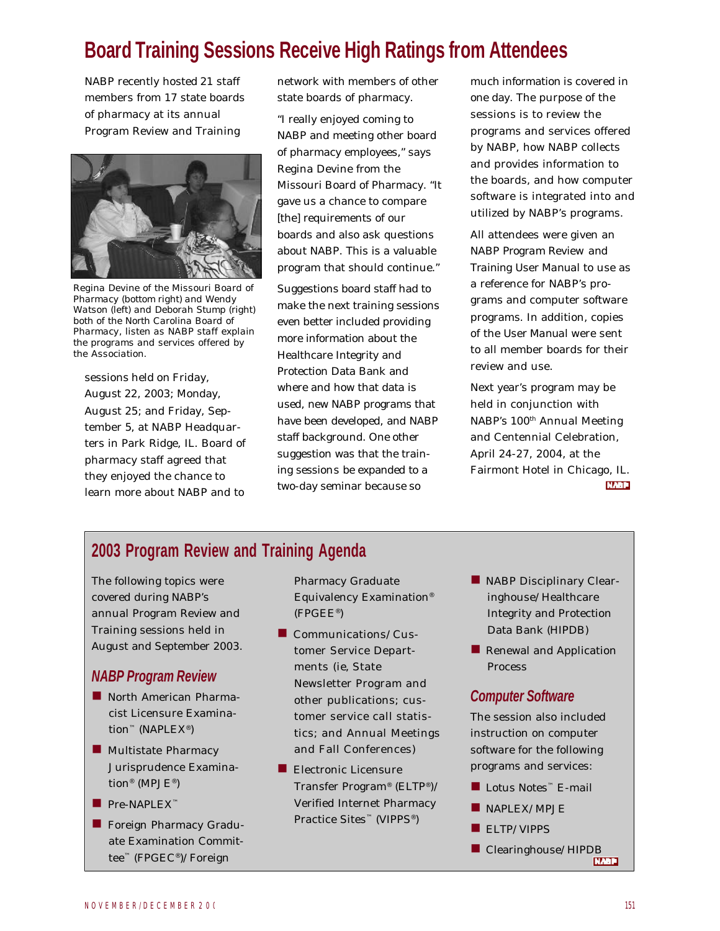# **Board Training Sessions Receive High Ratings from Attendees**

NABP recently hosted 21 staff members from 17 state boards of pharmacy at its annual Program Review and Training



*Regina Devine of the Missouri Board of Pharmacy (bottom right) and Wendy Watson (left) and Deborah Stump (right) both of the North Carolina Board of Pharmacy, listen as NABP staff explain the programs and services offered by the Association.*

sessions held on Friday, August 22, 2003; Monday, August 25; and Friday, September 5, at NABP Headquarters in Park Ridge, IL. Board of pharmacy staff agreed that they enjoyed the chance to learn more about NABP and to

network with members of other state boards of pharmacy.

"I really enjoyed coming to NABP and meeting other board of pharmacy employees," says Regina Devine from the Missouri Board of Pharmacy. "It gave us a chance to compare [the] requirements of our boards and also ask questions about NABP. This is a valuable program that should continue."

Suggestions board staff had to make the next training sessions even better included providing more information about the Healthcare Integrity and Protection Data Bank and where and how that data is used, new NABP programs that have been developed, and NABP staff background. One other suggestion was that the training sessions be expanded to a two-day seminar because so

much information is covered in one day. The purpose of the sessions is to review the programs and services offered by NABP, how NABP collects and provides information to the boards, and how computer software is integrated into and utilized by NABP's programs.

All attendees were given an *NABP Program Review and Training User Manual* to use as a reference for NABP's programs and computer software programs. In addition, copies of the *User Manual* were sent to all member boards for their review and use.

Next year's program may be held in conjunction with NABP's 100<sup>th</sup> Annual Meeting and Centennial Celebration, April 24-27, 2004, at the Fairmont Hotel in Chicago, IL. **NABP** 

#### **2003 Program Review and Training Agenda**

The following topics were covered during NABP's annual Program Review and Training sessions held in August and September 2003.

#### *NABP Program Review*

- North American Pharmacist Licensure Examination™ (NAPLEX® )
- **n** Multistate Pharmacy Jurisprudence Examination® (MPJE® )
- $\blacksquare$  Pre-NAPLEX™
- **n** Foreign Pharmacy Graduate Examination Committee™ (FPGEC® )/Foreign

Pharmacy Graduate Equivalency Examination® (FPGEE® )

- $\blacksquare$  Communications/Customer Service Departments (ie, State Newsletter Program and other publications; customer service call statistics; and Annual Meetings and Fall Conferences)
- $\blacksquare$  Electronic Licensure Transfer Program® (ELTP® )/ Verified Internet Pharmacy Practice Sites™ (VIPPS® )
- NABP Disciplinary Clearinghouse/Healthcare Integrity and Protection Data Bank (HIPDB)
- **n** Renewal and Application Process

#### *Computer Software*

The session also included instruction on computer software for the following programs and services:

- Lotus Notes™ E-mail
- $\blacksquare$  NAPLEX/MPJE
- ELTP/VIPPS
- n Clearinghouse/HIPDB<br>EREPT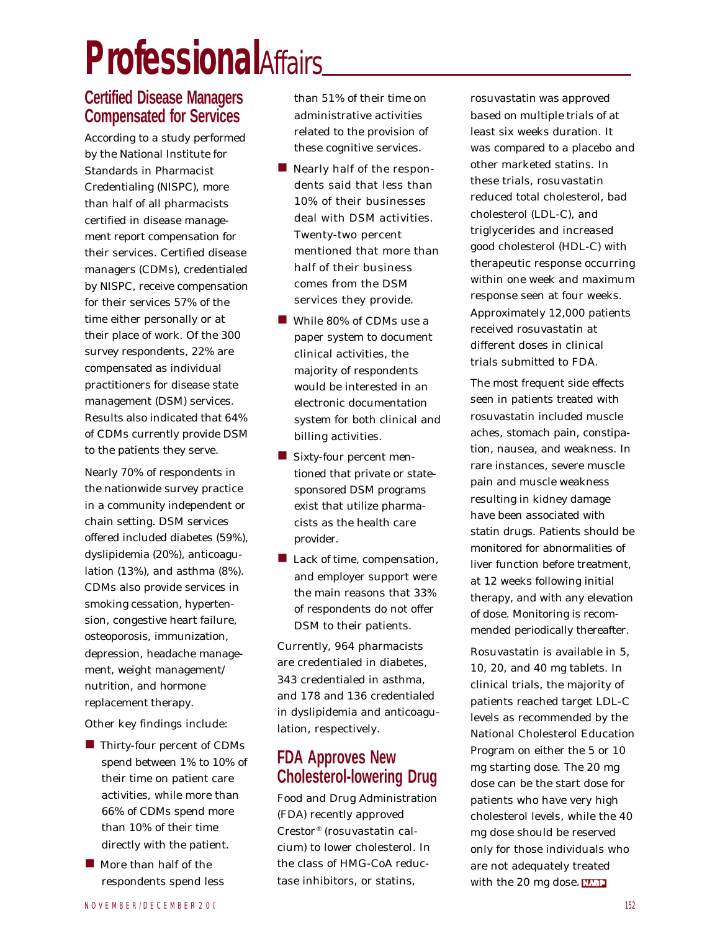# **Professional***Affairs*

#### **Certified Disease Managers Compensated for Services**

According to a study performed by the National Institute for Standards in Pharmacist Credentialing (NISPC), more than half of all pharmacists certified in disease management report compensation for their services. Certified disease managers (CDMs), credentialed by NISPC, receive compensation for their services 57% of the time either personally or at their place of work. Of the 300 survey respondents, 22% are compensated as individual practitioners for disease state management (DSM) services. Results also indicated that 64% of CDMs currently provide DSM to the patients they serve.

Nearly 70% of respondents in the nationwide survey practice in a community independent or chain setting. DSM services offered included diabetes (59%), dyslipidemia (20%), anticoagulation (13%), and asthma (8%). CDMs also provide services in smoking cessation, hypertension, congestive heart failure, osteoporosis, immunization, depression, headache management, weight management/ nutrition, and hormone replacement therapy.

Other key findings include:

- $\blacksquare$  Thirty-four percent of CDMs spend between 1% to 10% of their time on patient care activities, while more than 66% of CDMs spend more than 10% of their time directly with the patient.
- $\blacksquare$  More than half of the respondents spend less

than 51% of their time on administrative activities related to the provision of these cognitive services.

- $\blacksquare$  Nearly half of the respondents said that less than 10% of their businesses deal with DSM activities. Twenty-two percent mentioned that more than half of their business comes from the DSM services they provide.
- While 80% of CDMs use a paper system to document clinical activities, the majority of respondents would be interested in an electronic documentation system for both clinical and billing activities.
- $\blacksquare$  Sixty-four percent mentioned that private or statesponsored DSM programs exist that utilize pharmacists as the health care provider.
- **n** Lack of time, compensation, and employer support were the main reasons that 33% of respondents do not offer DSM to their patients.

Currently, 964 pharmacists are credentialed in diabetes, 343 credentialed in asthma, and 178 and 136 credentialed in dyslipidemia and anticoagulation, respectively.

#### **FDA Approves New Cholesterol-lowering Drug**

Food and Drug Administration (FDA) recently approved Crestor® (rosuvastatin calcium) to lower cholesterol. In the class of HMG-CoA reductase inhibitors, or statins,

rosuvastatin was approved based on multiple trials of at least six weeks duration. It was compared to a placebo and other marketed statins. In these trials, rosuvastatin reduced total cholesterol, bad cholesterol (LDL-C), and triglycerides and increased good cholesterol (HDL-C) with therapeutic response occurring within one week and maximum response seen at four weeks. Approximately 12,000 patients received rosuvastatin at different doses in clinical trials submitted to FDA.

The most frequent side effects seen in patients treated with rosuvastatin included muscle aches, stomach pain, constipation, nausea, and weakness. In rare instances, severe muscle pain and muscle weakness resulting in kidney damage have been associated with statin drugs. Patients should be monitored for abnormalities of liver function before treatment, at 12 weeks following initial therapy, and with any elevation of dose. Monitoring is recommended periodically thereafter.

Rosuvastatin is available in 5, 10, 20, and 40 mg tablets. In clinical trials, the majority of patients reached target LDL-C levels as recommended by the National Cholesterol Education Program on either the 5 or 10 mg starting dose. The 20 mg dose can be the start dose for patients who have very high cholesterol levels, while the 40 mg dose should be reserved only for those individuals who are not adequately treated with the 20 mg dose.  $ET1$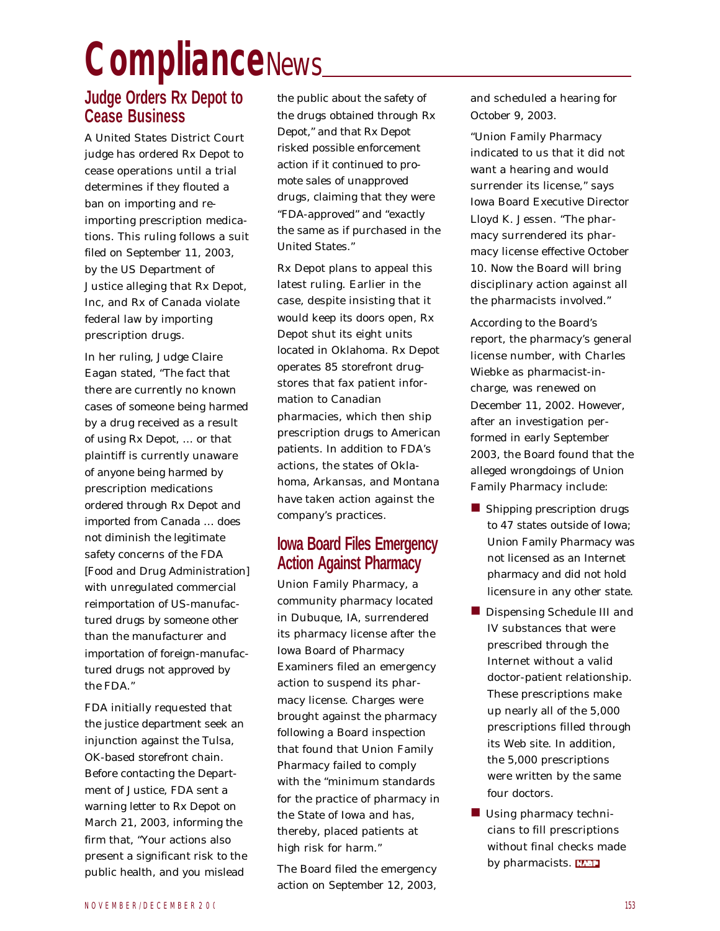# **Compliance***News*

#### **Judge Orders Rx Depot to Cease Business**

A United States District Court judge has ordered Rx Depot to cease operations until a trial determines if they flouted a ban on importing and reimporting prescription medications. This ruling follows a suit filed on September 11, 2003, by the US Department of Justice alleging that Rx Depot, Inc, and Rx of Canada violate federal law by importing prescription drugs.

In her ruling, Judge Claire Eagan stated, "The fact that there are currently no known cases of someone being harmed by a drug received as a result of using Rx Depot, … or that plaintiff is currently unaware of anyone being harmed by prescription medications ordered through Rx Depot and imported from Canada … does not diminish the legitimate safety concerns of the FDA [Food and Drug Administration] with unregulated commercial reimportation of US-manufactured drugs by someone other than the manufacturer and importation of foreign-manufactured drugs not approved by the FDA."

FDA initially requested that the justice department seek an injunction against the Tulsa, OK-based storefront chain. Before contacting the Department of Justice, FDA sent a warning letter to Rx Depot on March 21, 2003, informing the firm that, "Your actions also present a significant risk to the public health, and you mislead

the public about the safety of the drugs obtained through Rx Depot," and that Rx Depot risked possible enforcement action if it continued to promote sales of unapproved drugs, claiming that they were "FDA-approved" and "exactly the same as if purchased in the United States."

Rx Depot plans to appeal this latest ruling. Earlier in the case, despite insisting that it would keep its doors open, Rx Depot shut its eight units located in Oklahoma. Rx Depot operates 85 storefront drugstores that fax patient information to Canadian pharmacies, which then ship prescription drugs to American patients. In addition to FDA's actions, the states of Oklahoma, Arkansas, and Montana have taken action against the company's practices.

#### **Iowa Board Files Emergency Action Against Pharmacy**

Union Family Pharmacy, a community pharmacy located in Dubuque, IA, surrendered its pharmacy license after the Iowa Board of Pharmacy Examiners filed an emergency action to suspend its pharmacy license. Charges were brought against the pharmacy following a Board inspection that found that Union Family Pharmacy failed to comply with the "minimum standards for the practice of pharmacy in the State of Iowa and has, thereby, placed patients at high risk for harm."

The Board filed the emergency action on September 12, 2003, and scheduled a hearing for October 9, 2003.

"Union Family Pharmacy indicated to us that it did not want a hearing and would surrender its license," says Iowa Board Executive Director Lloyd K. Jessen. "The pharmacy surrendered its pharmacy license effective October 10. Now the Board will bring disciplinary action against all the pharmacists involved."

According to the Board's report, the pharmacy's general license number, with Charles Wiebke as pharmacist-incharge, was renewed on December 11, 2002. However, after an investigation performed in early September 2003, the Board found that the alleged wrongdoings of Union Family Pharmacy include:

- **n** Shipping prescription drugs to 47 states outside of Iowa; Union Family Pharmacy was not licensed as an Internet pharmacy and did not hold licensure in any other state.
- Dispensing Schedule III and IV substances that were prescribed through the Internet without a valid doctor-patient relationship. These prescriptions make up nearly all of the 5,000 prescriptions filled through its Web site. In addition, the 5,000 prescriptions were written by the same four doctors.
- $\blacksquare$  Using pharmacy technicians to fill prescriptions without final checks made by pharmacists. **WALL**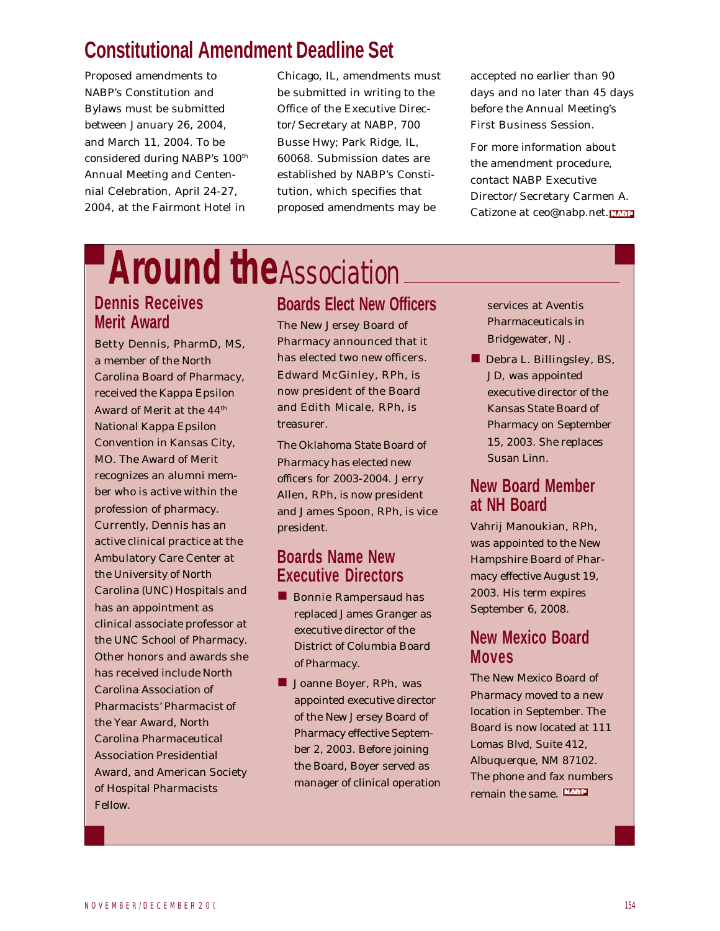# **Constitutional Amendment Deadline Set**

Proposed amendments to NABP's Constitution and Bylaws must be submitted between January 26, 2004, and March 11, 2004. To be considered during NABP's 100<sup>th</sup> Annual Meeting and Centennial Celebration, April 24-27, 2004, at the Fairmont Hotel in

Chicago, IL, amendments must be submitted in writing to the Office of the Executive Director/Secretary at NABP, 700 Busse Hwy; Park Ridge, IL, 60068. Submission dates are established by NABP's Constitution, which specifies that proposed amendments may be

accepted no earlier than 90 days and no later than 45 days before the Annual Meeting's First Business Session.

For more information about the amendment procedure, contact NABP Executive Director/Secretary Carmen A. Catizone at ceo@nabp.net.

# **Around the***Association*

### **Dennis Receives Merit Award**

#### Betty Dennis, PharmD, MS,

a member of the North Carolina Board of Pharmacy, received the Kappa Epsilon Award of Merit at the 44<sup>th</sup> National Kappa Epsilon Convention in Kansas City, MO. The Award of Merit recognizes an alumni member who is active within the profession of pharmacy. Currently, Dennis has an active clinical practice at the Ambulatory Care Center at the University of North Carolina (UNC) Hospitals and has an appointment as clinical associate professor at the UNC School of Pharmacy. Other honors and awards she has received include North Carolina Association of Pharmacists' Pharmacist of the Year Award, North Carolina Pharmaceutical Association Presidential Award, and American Society of Hospital Pharmacists Fellow.

# **Boards Elect New Officers**

The New Jersey Board of Pharmacy announced that it has elected two new officers. Edward McGinley, RPh, is now president of the Board and Edith Micale, RPh, is treasurer.

The Oklahoma State Board of Pharmacy has elected new officers for 2003-2004. Jerry Allen, RPh, is now president and James Spoon, RPh, is vice president.

#### **Boards Name New Executive Directors**

- **n** Bonnie Rampersaud has replaced James Granger as executive director of the District of Columbia Board of Pharmacy.
- **n Joanne Boyer, RPh, was** appointed executive director of the New Jersey Board of Pharmacy effective September 2, 2003. Before joining the Board, Boyer served as manager of clinical operation

services at Aventis Pharmaceuticals in Bridgewater, NJ.

**n** Debra L. Billingsley, BS, JD, was appointed executive director of the Kansas State Board of Pharmacy on September 15, 2003. She replaces Susan Linn.

#### **New Board Member at NH Board**

Vahrij Manoukian, RPh, was appointed to the New Hampshire Board of Pharmacy effective August 19, 2003. His term expires September 6, 2008.

#### **New Mexico Board Moves**

The New Mexico Board of Pharmacy moved to a new location in September. The Board is now located at 111 Lomas Blvd, Suite 412, Albuquerque, NM 87102. The phone and fax numbers remain the same.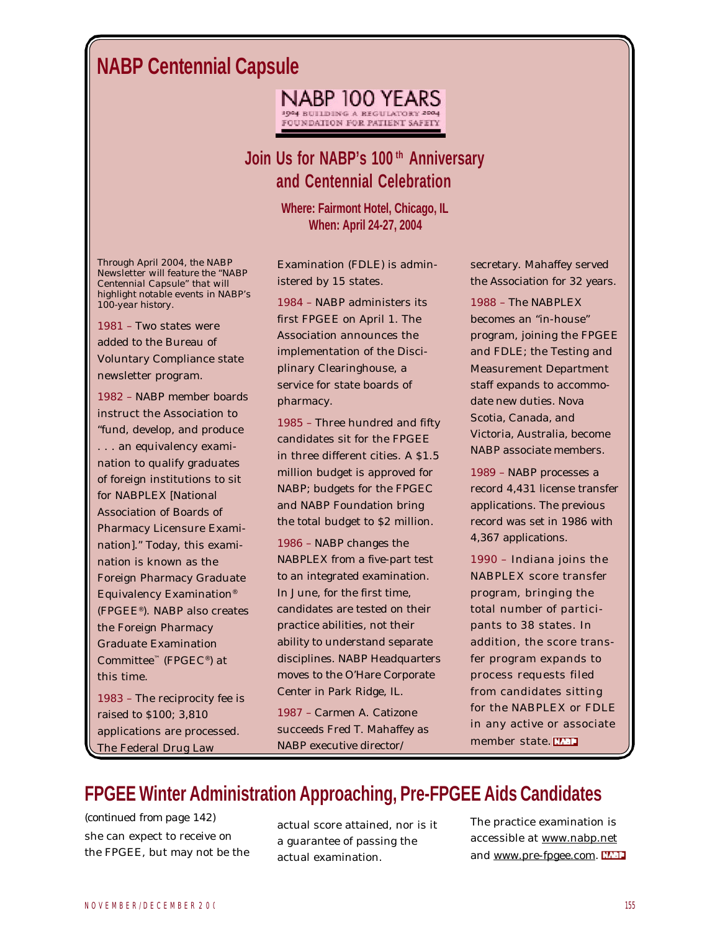# **NABP Centennial Capsule**

NABP 100 YEARS **3004 BUILDING A REGULATORY 2004** FOUNDATION FOR PATIENT SAFETY

# **Join Us for NABP's 100 th Anniversary and Centennial Celebration**

**Where: Fairmont Hotel, Chicago, IL When: April 24-27, 2004**

*Through April 2004, the* NABP Newsletter *will feature the "NABP Centennial Capsule" that will highlight notable events in NABP's 100-year history.*

1981 – Two states were added to the Bureau of Voluntary Compliance state newsletter program.

1982 – NABP member boards instruct the Association to "fund, develop, and produce . . . an equivalency examination to qualify graduates of foreign institutions to sit for NABPLEX [National Association of Boards of Pharmacy Licensure Examination]." Today, this examination is known as the Foreign Pharmacy Graduate Equivalency Examination® (FPGEE® ). NABP also creates the Foreign Pharmacy Graduate Examination Committee™ (FPGEC® ) at this time.

1983 – The reciprocity fee is raised to \$100; 3,810 applications are processed. The Federal Drug Law

Examination (FDLE) is administered by 15 states.

1984 – NABP administers its first FPGEE on April 1. The Association announces the implementation of the Disciplinary Clearinghouse, a service for state boards of pharmacy.

1985 – Three hundred and fifty candidates sit for the FPGEE in three different cities. A \$1.5 million budget is approved for NABP; budgets for the FPGEC and NABP Foundation bring the total budget to \$2 million.

1986 – NABP changes the NABPLEX from a five-part test to an integrated examination. In June, for the first time, candidates are tested on their practice abilities, not their ability to understand separate disciplines. NABP Headquarters moves to the O'Hare Corporate Center in Park Ridge, IL.

1987 – Carmen A. Catizone succeeds Fred T. Mahaffey as NABP executive director/

secretary. Mahaffey served the Association for 32 years.

1988 – The NABPLEX becomes an "in-house" program, joining the FPGEE and FDLE; the Testing and Measurement Department staff expands to accommodate new duties. Nova Scotia, Canada, and Victoria, Australia, become NABP associate members.

1989 – NABP processes a record 4,431 license transfer applications. The previous record was set in 1986 with 4,367 applications.

1990 – Indiana joins the NABPLEX score transfer program, bringing the total number of participants to 38 states. In addition, the score transfer program expands to process requests filed from candidates sitting for the NABPLEX or FDLE in any active or associate member state.

# **FPGEE Winter Administration Approaching, Pre-FPGEE Aids Candidates**

she can expect to receive on the FPGEE, but may not be the *(continued from page 142)*

actual score attained, nor is it a guarantee of passing the actual examination.

The practice examination is accessible at www.nabp.net and www.pre-fpgee.com.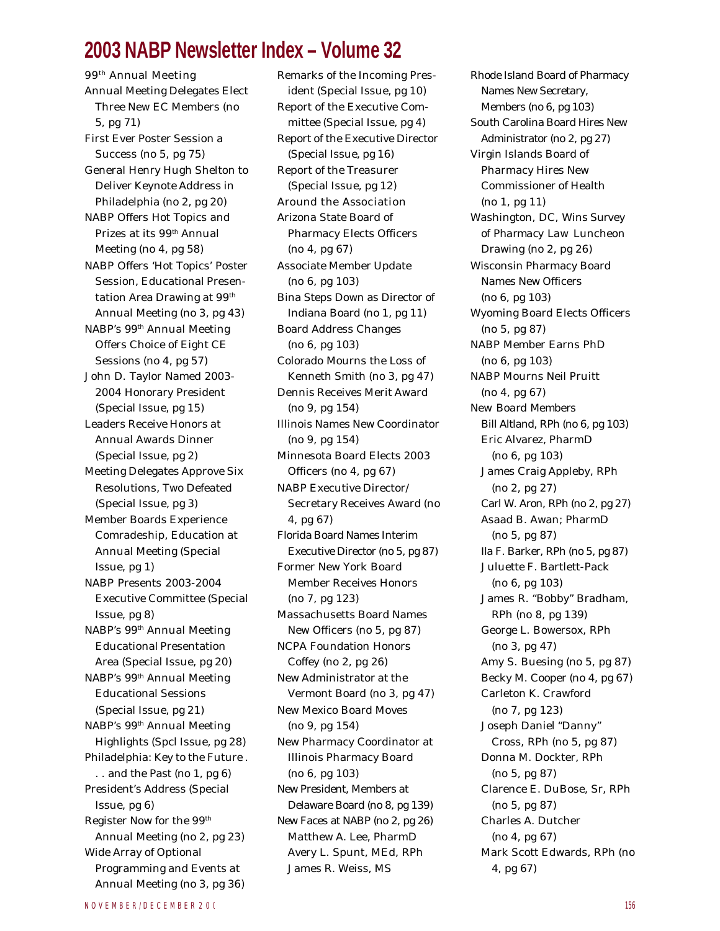# **2003 NABP Newsletter Index – Volume 32**

99th Annual Meeting Annual Meeting Delegates Elect Three New EC Members (no 5, pg 71) First Ever Poster Session a Success (no 5, pg 75) General Henry Hugh Shelton to Deliver Keynote Address in Philadelphia (no 2, pg 20) NABP Offers Hot Topics and Prizes at its 99<sup>th</sup> Annual Meeting (no 4, pg 58) NABP Offers 'Hot Topics' Poster Session, Educational Presentation Area Drawing at 99<sup>th</sup> Annual Meeting (no 3, pg 43) NABP's 99th Annual Meeting Offers Choice of Eight CE Sessions (no 4, pg 57) John D. Taylor Named 2003- 2004 Honorary President (Special Issue, pg 15) Leaders Receive Honors at Annual Awards Dinner (Special Issue, pg 2) Meeting Delegates Approve Six Resolutions, Two Defeated (Special Issue, pg 3) Member Boards Experience Comradeship, Education at Annual Meeting (Special Issue, pg 1) NABP Presents 2003-2004 Executive Committee (Special Issue, pg 8) NABP's 99th Annual Meeting Educational Presentation Area (Special Issue, pg 20) NABP's 99th Annual Meeting Educational Sessions (Special Issue, pg 21) NABP's 99th Annual Meeting Highlights (Spcl Issue, pg 28) Philadelphia: Key to the Future . . . and the Past (no 1, pg 6) President's Address (Special Issue, pg 6) Register Now for the 99th Annual Meeting (no 2, pg 23) Wide Array of Optional Programming and Events at Annual Meeting (no 3, pg 36)

Remarks of the Incoming President (Special Issue, pg 10) Report of the Executive Committee (Special Issue, pg 4) Report of the Executive Director (Special Issue, pg 16) Report of the Treasurer (Special Issue, pg 12) Around the Association Arizona State Board of Pharmacy Elects Officers (no 4, pg 67) Associate Member Update (no 6, pg 103) Bina Steps Down as Director of Indiana Board (no 1, pg 11) Board Address Changes (no 6, pg 103) Colorado Mourns the Loss of Kenneth Smith (no 3, pg 47) Dennis Receives Merit Award (no 9, pg 154) Illinois Names New Coordinator (no 9, pg 154) Minnesota Board Elects 2003 Officers (no 4, pg 67) NABP Executive Director/ Secretary Receives Award (no 4, pg 67) Florida Board Names Interim Executive Director (no 5, pg 87) Former New York Board Member Receives Honors (no 7, pg 123) Massachusetts Board Names New Officers (no 5, pg 87) NCPA Foundation Honors Coffey (no 2, pg 26) New Administrator at the Vermont Board (no 3, pg 47) New Mexico Board Moves (no 9, pg 154) New Pharmacy Coordinator at Illinois Pharmacy Board (no 6, pg 103) New President, Members at Delaware Board (no 8, pg 139) New Faces at NABP (no 2, pg 26) Matthew A. Lee, PharmD Avery L. Spunt, MEd, RPh James R. Weiss, MS

Rhode Island Board of Pharmacy Names New Secretary, Members (no 6, pg 103) South Carolina Board Hires New Administrator (no 2, pg 27) Virgin Islands Board of Pharmacy Hires New Commissioner of Health (no 1, pg 11) Washington, DC, Wins *Survey of Pharmacy Law* Luncheon Drawing (no 2, pg 26) Wisconsin Pharmacy Board Names New Officers (no 6, pg 103) Wyoming Board Elects Officers (no 5, pg 87) NABP Member Earns PhD (no 6, pg 103) NABP Mourns Neil Pruitt (no 4, pg 67) *New Board Members* Bill Altland, RPh (no 6, pg 103) Eric Alvarez, PharmD (no 6, pg 103) James Craig Appleby, RPh (no 2, pg 27) Carl W. Aron, RPh (no 2, pg 27) Asaad B. Awan; PharmD (no 5, pg 87) Ila F. Barker, RPh (no 5, pg 87) Juluette F. Bartlett-Pack (no 6, pg 103) James R. "Bobby" Bradham, RPh (no 8, pg 139) George L. Bowersox, RPh (no 3, pg 47) Amy S. Buesing (no 5, pg 87) Becky M. Cooper (no 4, pg 67) Carleton K. Crawford (no 7, pg 123) Joseph Daniel "Danny" Cross, RPh (no 5, pg 87) Donna M. Dockter, RPh (no 5, pg 87) Clarence E. DuBose, Sr, RPh (no 5, pg 87) Charles A. Dutcher (no 4, pg 67) Mark Scott Edwards, RPh (no 4, pg 67)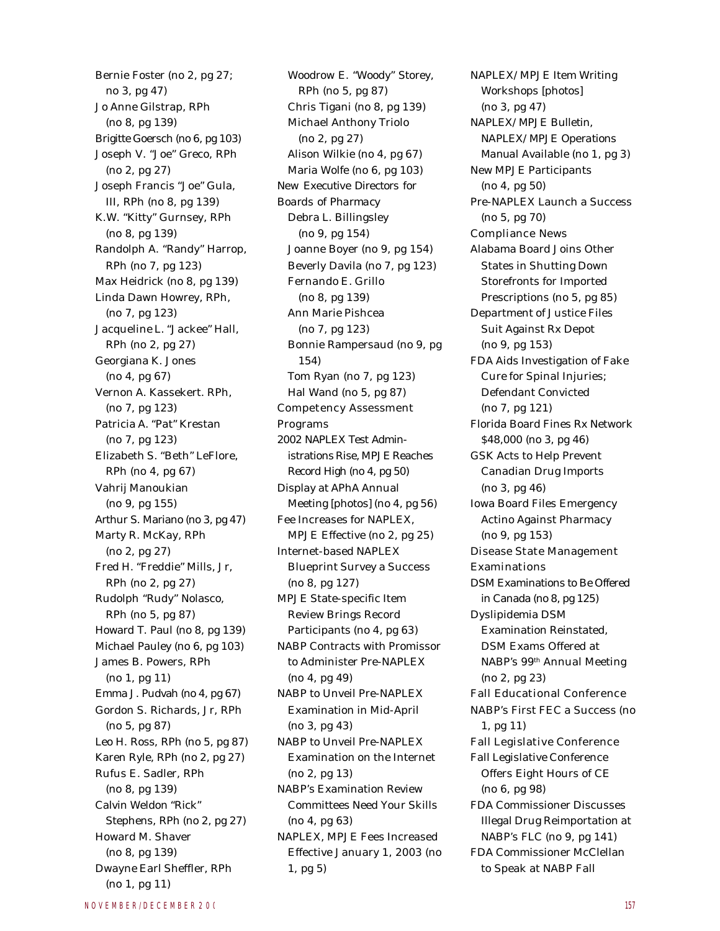Bernie Foster (no 2, pg 27; no 3, pg 47) Jo Anne Gilstrap, RPh (no 8, pg 139) Brigitte Goersch (no 6, pg 103) Joseph V. "Joe" Greco, RPh (no 2, pg 27) Joseph Francis "Joe" Gula, III, RPh (no 8, pg 139) K.W. "Kitty" Gurnsey, RPh (no 8, pg 139) Randolph A. "Randy" Harrop, RPh (no 7, pg 123) Max Heidrick (no 8, pg 139) Linda Dawn Howrey, RPh, (no 7, pg 123) Jacqueline L. "Jackee" Hall, RPh (no 2, pg 27) Georgiana K. Jones (no 4, pg 67) Vernon A. Kassekert. RPh, (no 7, pg 123) Patricia A. "Pat" Krestan (no 7, pg 123) Elizabeth S. "Beth" LeFlore, RPh (no 4, pg 67) Vahrij Manoukian (no 9, pg 155) Arthur S. Mariano (no 3, pg 47) Marty R. McKay, RPh (no 2, pg 27) Fred H. "Freddie" Mills, Jr, RPh (no 2, pg 27) Rudolph "Rudy" Nolasco, RPh (no 5, pg 87) Howard T. Paul (no 8, pg 139) Michael Pauley (no 6, pg 103) James B. Powers, RPh (no 1, pg 11) Emma J. Pudvah (no 4, pg 67) Gordon S. Richards, Jr, RPh (no 5, pg 87) Leo H. Ross, RPh (no 5, pg 87) Karen Ryle, RPh (no 2, pg 27) Rufus E. Sadler, RPh (no 8, pg 139) Calvin Weldon "Rick" Stephens, RPh (no 2, pg 27) Howard M. Shaver (no 8, pg 139) Dwayne Earl Sheffler, RPh (no 1, pg 11)

Woodrow E. "Woody" Storey, RPh (no 5, pg 87) Chris Tigani (no 8, pg 139) Michael Anthony Triolo (no 2, pg 27) Alison Wilkie (no 4, pg 67) Maria Wolfe (no 6, pg 103) *New Executive Directors for Boards of Pharmacy* Debra L. Billingsley (no 9, pg 154) Joanne Boyer (no 9, pg 154) Beverly Davila (no 7, pg 123) Fernando E. Grillo (no 8, pg 139) Ann Marie Pishcea (no 7, pg 123) Bonnie Rampersaud (no 9, pg 154) Tom Ryan (no 7, pg 123) Hal Wand (no 5, pg 87) Competency Assessment Programs 2002 NAPLEX Test Administrations Rise, MPJE Reaches Record High (no 4, pg 50) Display at APhA Annual Meeting [photos] (no 4, pg 56) Fee Increases for NAPLEX, MPJE Effective (no 2, pg 25) Internet-based NAPLEX Blueprint Survey a Success (no 8, pg 127) MPJE State-specific Item Review Brings Record Participants (no 4, pg 63) NABP Contracts with Promissor to Administer Pre-NAPLEX (no 4, pg 49) NABP to Unveil Pre-NAPLEX Examination in Mid-April (no 3, pg 43) NABP to Unveil Pre-NAPLEX Examination on the Internet (no 2, pg 13) NABP's Examination Review Committees Need Your Skills (no 4, pg 63) NAPLEX, MPJE Fees Increased Effective January 1, 2003 (no 1, pg 5)

NAPLEX/MPJE Item Writing Workshops [photos] (no 3, pg 47) *NAPLEX/MPJE Bulletin*, *NAPLEX/MPJE Operations Manual* Available (no 1, pg 3) New MPJE Participants (no 4, pg 50) Pre-NAPLEX Launch a Success (no 5, pg 70) Compliance News Alabama Board Joins Other States in Shutting Down Storefronts for Imported Prescriptions (no 5, pg 85) Department of Justice Files Suit Against Rx Depot (no 9, pg 153) FDA Aids Investigation of Fake Cure for Spinal Injuries; Defendant Convicted (no 7, pg 121) Florida Board Fines Rx Network \$48,000 (no 3, pg 46) GSK Acts to Help Prevent Canadian Drug Imports (no 3, pg 46) Iowa Board Files Emergency Actino Against Pharmacy (no 9, pg 153) Disease State Management Examinations DSM Examinations to Be Offered in Canada (no 8, pg 125) Dyslipidemia DSM Examination Reinstated, DSM Exams Offered at NABP's 99th Annual Meeting (no 2, pg 23) Fall Educational Conference NABP's First FEC a Success (no 1, pg 11) Fall Legislative Conference Fall Legislative Conference Offers Eight Hours of CE (no 6, pg 98) FDA Commissioner Discusses Illegal Drug Reimportation at NABP's FLC (no 9, pg 141) FDA Commissioner McClellan to Speak at NABP Fall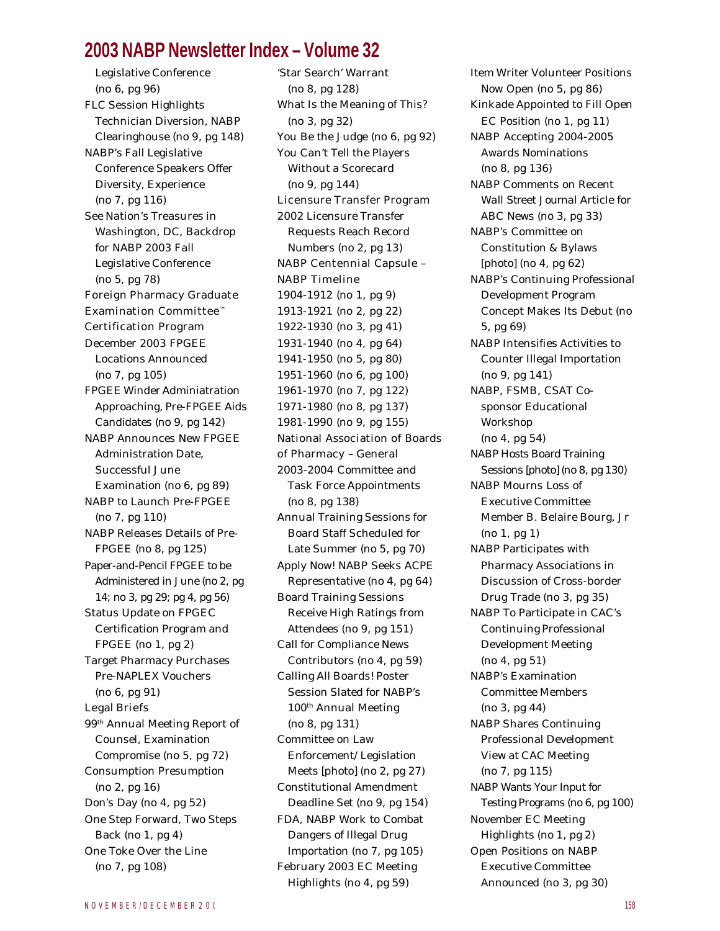### **2003 NABP Newsletter Index – Volume 32**

Legislative Conference (no 6, pg 96) FLC Session Highlights Technician Diversion, NABP Clearinghouse (no 9, pg 148) NABP's Fall Legislative Conference Speakers Offer Diversity, Experience (no 7, pg 116) See Nation's Treasures in Washington, DC, Backdrop for NABP 2003 Fall Legislative Conference (no 5, pg 78) Foreign Pharmacy Graduate Examination Committee™ Certification Program December 2003 FPGEE Locations Announced (no 7, pg 105) FPGEE Winder Adminiatration Approaching, Pre-FPGEE Aids Candidates (no 9, pg 142) NABP Announces New FPGEE Administration Date, Successful June Examination (no 6, pg 89) NABP to Launch Pre-FPGEE (no 7, pg 110) NABP Releases Details of Pre-FPGEE (no 8, pg 125) Paper-and-Pencil FPGEE to be Administered in June (no 2, pg 14; no 3, pg 29; pg 4, pg 56) Status Update on FPGEC Certification Program and FPGEE (no 1, pg 2) Target Pharmacy Purchases Pre-NAPLEX Vouchers (no 6, pg 91) Legal Briefs 99th Annual Meeting Report of Counsel, Examination Compromise (no 5, pg 72) Consumption Presumption (no 2, pg 16) Don's Day (no 4, pg 52) One Step Forward, Two Steps Back (no 1, pg 4) One Toke Over the Line (no 7, pg 108)

'Star Search' Warrant (no 8, pg 128) What Is the Meaning of This? (no 3, pg 32) You Be the Judge (no 6, pg 92) You Can't Tell the Players Without a Scorecard (no 9, pg 144) Licensure Transfer Program 2002 Licensure Transfer Requests Reach Record Numbers (no 2, pg 13) NABP Centennial Capsule – NABP Timeline 1904-1912 (no 1, pg 9) 1913-1921 (no 2, pg 22) 1922-1930 (no 3, pg 41) 1931-1940 (no 4, pg 64) 1941-1950 (no 5, pg 80) 1951-1960 (no 6, pg 100) 1961-1970 (no 7, pg 122) 1971-1980 (no 8, pg 137) 1981-1990 (no 9, pg 155) National Association of Boards of Pharmacy – General 2003-2004 Committee and Task Force Appointments (no 8, pg 138) Annual Training Sessions for Board Staff Scheduled for Late Summer (no 5, pg 70) Apply Now! NABP Seeks ACPE Representative (no 4, pg 64) Board Training Sessions Receive High Ratings from Attendees (no 9, pg 151) Call for Compliance News Contributors (no 4, pg 59) Calling All Boards! Poster Session Slated for NABP's 100th Annual Meeting (no 8, pg 131) Committee on Law Enforcement/Legislation Meets [photo] (no 2, pg 27) Constitutional Amendment Deadline Set (no 9, pg 154) FDA, NABP Work to Combat Dangers of Illegal Drug Importation (no 7, pg 105) February 2003 EC Meeting Highlights (no 4, pg 59)

Item Writer Volunteer Positions Now Open (no 5, pg 86) Kinkade Appointed to Fill Open EC Position (no 1, pg 11) NABP Accepting 2004-2005 Awards Nominations (no 8, pg 136) NABP Comments on Recent *Wall Street Journal* Article for ABC News (no 3, pg 33) NABP's Committee on Constitution & Bylaws [photo] (no 4, pg 62) NABP's Continuing Professional Development Program Concept Makes Its Debut (no 5, pg 69) NABP Intensifies Activities to Counter Illegal Importation (no 9, pg 141) NABP, FSMB, CSAT Cosponsor Educational Workshop (no 4, pg 54) NABP Hosts Board Training Sessions [photo] (no 8, pg 130) NABP Mourns Loss of Executive Committee Member B. Belaire Bourg, Jr (no 1, pg 1) NABP Participates with Pharmacy Associations in Discussion of Cross-border Drug Trade (no 3, pg 35) NABP To Participate in CAC's Continuing Professional Development Meeting (no 4, pg 51) NABP's Examination Committee Members (no 3, pg 44) NABP Shares Continuing Professional Development View at CAC Meeting (no 7, pg 115) NABP Wants Your Input for Testing Programs (no 6, pg 100) November EC Meeting Highlights (no 1, pg 2) Open Positions on NABP Executive Committee Announced (no 3, pg 30)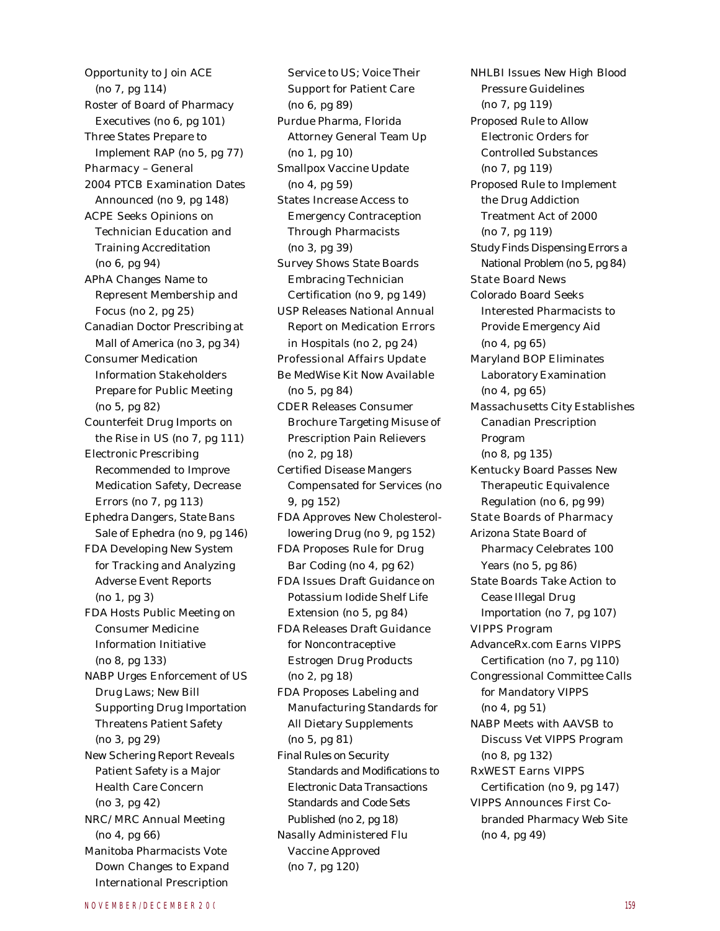Opportunity to Join ACE (no 7, pg 114) Roster of Board of Pharmacy Executives (no 6, pg 101) Three States Prepare to Implement RAP (no 5, pg 77) Pharmacy – General 2004 PTCB Examination Dates Announced (no 9, pg 148) ACPE Seeks Opinions on Technician Education and Training Accreditation (no 6, pg 94) APhA Changes Name to Represent Membership and Focus (no 2, pg 25) Canadian Doctor Prescribing at Mall of America (no 3, pg 34) Consumer Medication Information Stakeholders Prepare for Public Meeting (no 5, pg 82) Counterfeit Drug Imports on the Rise in US (no 7, pg 111) Electronic Prescribing Recommended to Improve Medication Safety, Decrease Errors (no 7, pg 113) Ephedra Dangers, State Bans Sale of Ephedra (no 9, pg 146) FDA Developing New System for Tracking and Analyzing Adverse Event Reports (no 1, pg 3) FDA Hosts Public Meeting on Consumer Medicine Information Initiative (no 8, pg 133) NABP Urges Enforcement of US Drug Laws; New Bill Supporting Drug Importation Threatens Patient Safety (no 3, pg 29) New Schering Report Reveals Patient Safety is a Major Health Care Concern (no 3, pg 42) NRC/MRC Annual Meeting (no 4, pg 66) Manitoba Pharmacists Vote Down Changes to Expand International Prescription

Service to US; Voice Their Support for Patient Care (no 6, pg 89) Purdue Pharma, Florida Attorney General Team Up (no 1, pg 10) Smallpox Vaccine Update (no 4, pg 59) States Increase Access to Emergency Contraception Through Pharmacists (no 3, pg 39) Survey Shows State Boards Embracing Technician Certification (no 9, pg 149) USP Releases National Annual Report on Medication Errors in Hospitals (no 2, pg 24) Professional Affairs Update *Be MedWise* Kit Now Available (no 5, pg 84) CDER Releases Consumer Brochure Targeting Misuse of Prescription Pain Relievers (no 2, pg 18) Certified Disease Mangers Compensated for Services (no 9, pg 152) FDA Approves New Cholesterollowering Drug (no 9, pg 152) FDA Proposes Rule for Drug Bar Coding (no 4, pg 62) FDA Issues Draft Guidance on Potassium Iodide Shelf Life Extension (no 5, pg 84) FDA Releases Draft Guidance for Noncontraceptive Estrogen Drug Products (no 2, pg 18) FDA Proposes Labeling and Manufacturing Standards for All Dietary Supplements (no 5, pg 81) Final Rules on Security Standards and Modifications to Electronic Data Transactions Standards and Code Sets Published (no 2, pg 18) Nasally Administered Flu Vaccine Approved (no 7, pg 120)

NHLBI Issues New High Blood Pressure Guidelines (no 7, pg 119) Proposed Rule to Allow Electronic Orders for Controlled Substances (no 7, pg 119) Proposed Rule to Implement the Drug Addiction Treatment Act of 2000 (no 7, pg 119) Study Finds Dispensing Errors a National Problem (no 5, pg 84) State Board News Colorado Board Seeks Interested Pharmacists to Provide Emergency Aid (no 4, pg 65) Maryland BOP Eliminates Laboratory Examination (no 4, pg 65) Massachusetts City Establishes Canadian Prescription Program (no 8, pg 135) Kentucky Board Passes New Therapeutic Equivalence Regulation (no 6, pg 99) State Boards of Pharmacy Arizona State Board of Pharmacy Celebrates 100 Years (no 5, pg 86) State Boards Take Action to Cease Illegal Drug Importation (no 7, pg 107) VIPPS Program AdvanceRx.com Earns VIPPS Certification (no 7, pg 110) Congressional Committee Calls for Mandatory VIPPS (no 4, pg 51) NABP Meets with AAVSB to Discuss Vet VIPPS Program (no 8, pg 132) RxWEST Earns VIPPS Certification (no 9, pg 147) VIPPS Announces First Cobranded Pharmacy Web Site (no 4, pg 49)